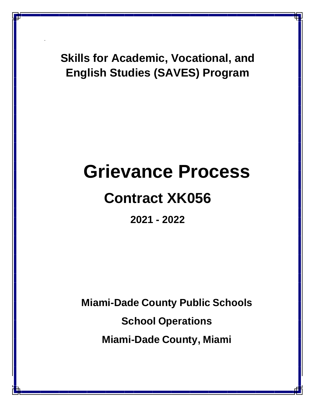**Skills for Academic, Vocational, and English Studies (SAVES) Program**

.

# **Grievance Process**

## **Contract XK056**

**2021 - 2022**

**Miami-Dade County Public Schools School Operations Miami-Dade County, Miami**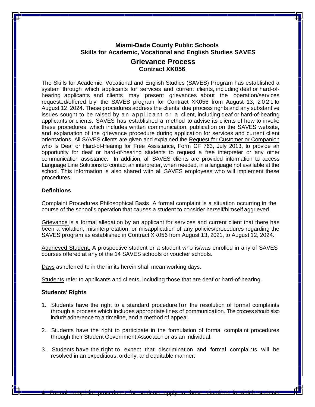### **Miami-Dade County Public Schools Skills for Academic, Vocational and English Studies SAVES**

#### **Grievance Process Contract XK056**

The Skills for Academic, Vocational and English Studies (SAVES) Program has established a system through which applicants for services and current clients, including deaf or hard-ofhearing applicants and clients may present grievances about the operation/services requested/offered by the SAVES program for Contract XK056 from August 13, 2021 to August 12, 2024. These procedures address the clients' due process rights and any substantive issues sought to be raised by an applicant or a client, including deaf or hard-of-hearing applicants or clients. SAVES has established a method to advise its clients of how to invoke these procedures, which includes written communication, publication on the SAVES website, and explanation of the grievance procedure during application for services and current client orientations. All SAVES clients are given and explained the Request for Customer or Companion who is Deaf or Hard-of-Hearing for Free Assistance, Form CF 763, July 2013, to provide an opportunity for deaf or hard-of-hearing students to request a free interpreter or any other communication assistance. In addition, all SAVES clients are provided information to access Language Line Solutions to contact an interpreter, when needed, in a language not available at the school. This information is also shared with all SAVES employees who will implement these procedures.

#### **Definitions**

Complaint Procedures Philosophical Basis. A formal complaint is a situation occurring in the course of the school's operation that causes a student to consider herself/himself aggrieved.

Grievance is a formal allegation by an applicant for services and current client that there has been a violation, misinterpretation, or misapplication of any policies/procedures regarding the SAVES program as established in Contract XK056 from August 13, 2021, to August 12, 2024.

Aggrieved Student. A prospective student or a student who is/was enrolled in any of SAVES courses offered at any of the 14 SAVES schools or voucher schools.

Days as referred to in the limits herein shall mean working days.

Students refer to applicants and clients, including those that are deaf or hard-of-hearing.

#### **Students' Rights**

- 1. Students have the right to a standard procedure for the resolution of formal complaints through a process which includes appropriate lines of communication. The process should also include adherence to a timeline, and a method of appeal.
- 2. Students have the right to participate in the formulation of formal complaint procedures through their Student Government Association or as an individual.
- 3. Students have the right to expect that discrimination and formal complaints will be resolved in an expeditious, orderly, and equitable manner.

4. Formal complaint procedures for students apply to those situations in which students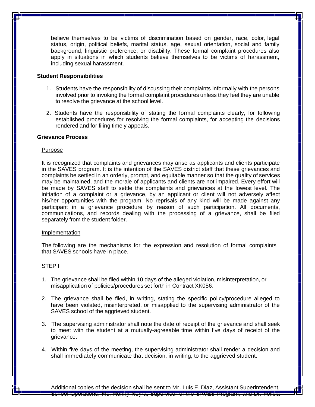believe themselves to be victims of discrimination based on gender, race, color, legal status, origin, political beliefs, marital status, age, sexual orientation, social and family background, linguistic preference, or disability. These formal complaint procedures also apply in situations in which students believe themselves to be victims of harassment, including sexual harassment.

#### **Student Responsibilities**

- 1. Students have the responsibility of discussing their complaints informally with the persons involved prior to invoking the formal complaint procedures unless they feel they are unable to resolve the grievance at the school level.
- 2. Students have the responsibility of stating the formal complaints clearly, for following established procedures for resolving the formal complaints, for accepting the decisions rendered and for filing timely appeals.

#### **Grievance Process**

#### Purpose

It is recognized that complaints and grievances may arise as applicants and clients participate in the SAVES program. It is the intention of the SAVES district staff that these grievances and complaints be settled in an orderly, prompt, and equitable manner so that the quality of services may be maintained, and the morale of applicants and clients are not impaired. Every effort will be made by SAVES staff to settle the complaints and grievances at the lowest level. The initiation of a complaint or a grievance, by an applicant or client will not adversely affect his/her opportunities with the program. No reprisals of any kind will be made against any participant in a grievance procedure by reason of such participation. All documents, communications, and records dealing with the processing of a grievance, shall be filed separately from the student folder.

#### Implementation

The following are the mechanisms for the expression and resolution of formal complaints that SAVES schools have in place.

#### STEP I

- 1. The grievance shall be filed within 10 days of the alleged violation, misinterpretation, or misapplication of policies/procedures set forth in Contract XK056.
- 2. The grievance shall be filed, in writing, stating the specific policy/procedure alleged to have been violated, misinterpreted, or misapplied to the supervising administrator of the SAVES school of the aggrieved student.
- 3. The supervising administrator shall note the date of receipt of the grievance and shall seek to meet with the student at a mutually-agreeable time within five days of receipt of the grievance.
- 4. Within five days of the meeting, the supervising administrator shall render a decision and shall immediately communicate that decision, in writing, to the aggrieved student.